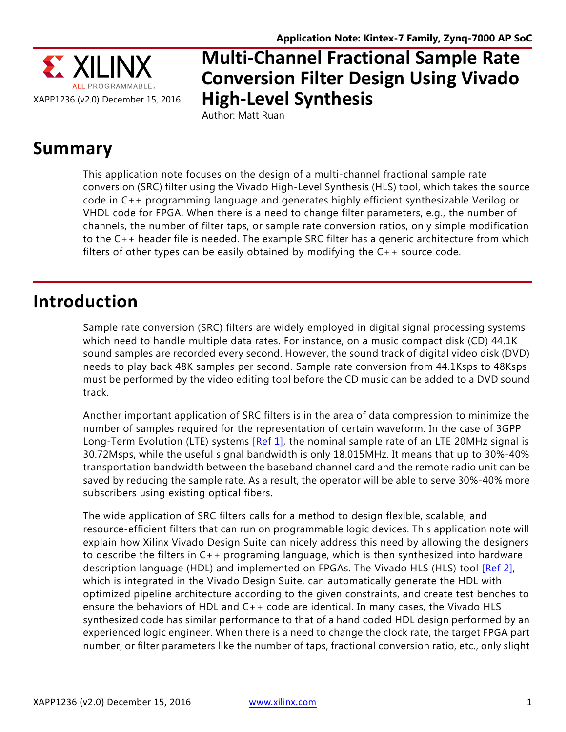

# **Multi-Channel Fractional Sample Rate Conversion Filter Design Using Vivado High-Level Synthesis**

Author: Matt Ruan

# **Summary**

This application note focuses on the design of a multi-channel fractional sample rate conversion (SRC) filter using the Vivado High-Level Synthesis (HLS) tool, which takes the source code in C++ programming language and generates highly efficient synthesizable Verilog or VHDL code for FPGA. When there is a need to change filter parameters, e.g., the number of channels, the number of filter taps, or sample rate conversion ratios, only simple modification to the C++ header file is needed. The example SRC filter has a generic architecture from which filters of other types can be easily obtained by modifying the C++ source code.

# **Introduction**

Sample rate conversion (SRC) filters are widely employed in digital signal processing systems which need to handle multiple data rates. For instance, on a music compact disk (CD) 44.1K sound samples are recorded every second. However, the sound track of digital video disk (DVD) needs to play back 48K samples per second. Sample rate conversion from 44.1Ksps to 48Ksps must be performed by the video editing tool before the CD music can be added to a DVD sound track.

Another important application of SRC filters is in the area of data compression to minimize the number of samples required for the representation of certain waveform. In the case of 3GPP Long-Term Evolution (LTE) systems [\[Ref 1\],](#page-19-0) the nominal sample rate of an LTE 20MHz signal is 30.72Msps, while the useful signal bandwidth is only 18.015MHz. It means that up to 30%-40% transportation bandwidth between the baseband channel card and the remote radio unit can be saved by reducing the sample rate. As a result, the operator will be able to serve 30%-40% more subscribers using existing optical fibers.

The wide application of SRC filters calls for a method to design flexible, scalable, and resource-efficient filters that can run on programmable logic devices. This application note will explain how Xilinx Vivado Design Suite can nicely address this need by allowing the designers to describe the filters in C++ programing language, which is then synthesized into hardware description language (HDL) and implemented on FPGAs. The Vivado HLS (HLS) tool [\[Ref 2\],](#page-19-1) which is integrated in the Vivado Design Suite, can automatically generate the HDL with optimized pipeline architecture according to the given constraints, and create test benches to ensure the behaviors of HDL and C++ code are identical. In many cases, the Vivado HLS synthesized code has similar performance to that of a hand coded HDL design performed by an experienced logic engineer. When there is a need to change the clock rate, the target FPGA part number, or filter parameters like the number of taps, fractional conversion ratio, etc., only slight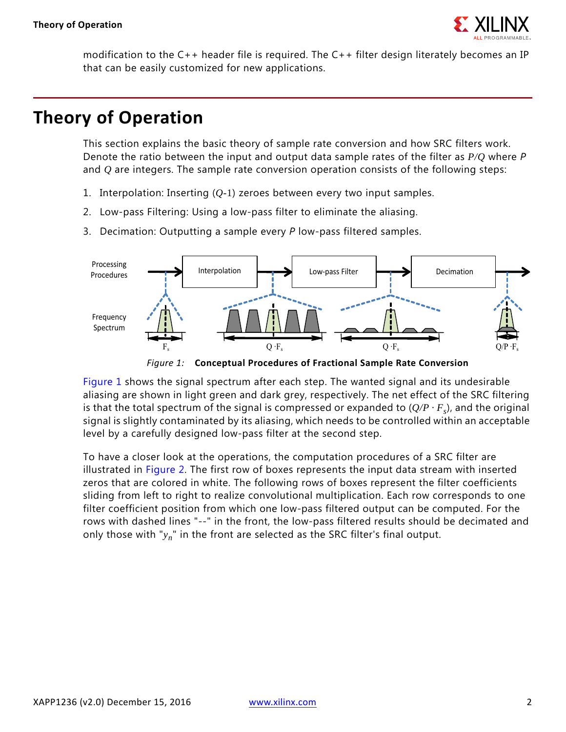

modification to the C++ header file is required. The C++ filter design literately becomes an IP that can be easily customized for new applications.

# **Theory of Operation**

This section explains the basic theory of sample rate conversion and how SRC filters work. Denote the ratio between the input and output data sample rates of the filter as *P/Q* where *P* and *Q* are integers. The sample rate conversion operation consists of the following steps:

- 1. Interpolation: Inserting (*Q-*1) zeroes between every two input samples.
- 2. Low-pass Filtering: Using a low-pass filter to eliminate the aliasing.
- 3. Decimation: Outputting a sample every *P* low-pass filtered samples.

<span id="page-1-0"></span>

*Figure 1:* **Conceptual Procedures of Fractional Sample Rate Conversion**

[Figure 1](#page-1-0) shows the signal spectrum after each step. The wanted signal and its undesirable aliasing are shown in light green and dark grey, respectively. The net effect of the SRC filtering is that the total spectrum of the signal is compressed or expanded to  $(Q/P \cdot F_s)$ , and the original signal is slightly contaminated by its aliasing, which needs to be controlled within an acceptable level by a carefully designed low-pass filter at the second step.

To have a closer look at the operations, the computation procedures of a SRC filter are illustrated in [Figure 2.](#page-2-0) The first row of boxes represents the input data stream with inserted zeros that are colored in white. The following rows of boxes represent the filter coefficients sliding from left to right to realize convolutional multiplication. Each row corresponds to one filter coefficient position from which one low-pass filtered output can be computed. For the rows with dashed lines "--" in the front, the low-pass filtered results should be decimated and only those with "*yn*" in the front are selected as the SRC filter's final output.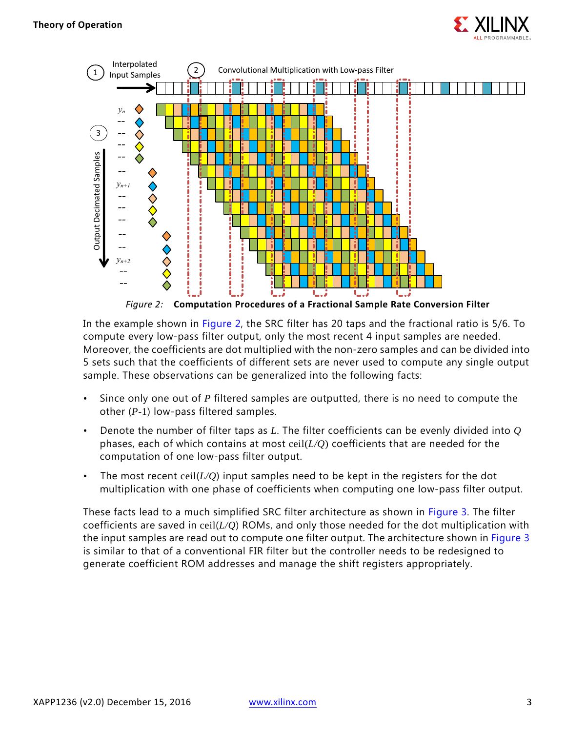

<span id="page-2-0"></span>

In the example shown in [Figure 2,](#page-2-0) the SRC filter has 20 taps and the fractional ratio is 5/6. To compute every low-pass filter output, only the most recent 4 input samples are needed. Moreover, the coefficients are dot multiplied with the non-zero samples and can be divided into 5 sets such that the coefficients of different sets are never used to compute any single output sample. These observations can be generalized into the following facts:

- Since only one out of *P* filtered samples are outputted, there is no need to compute the other (*P*-1) low-pass filtered samples.
- Denote the number of filter taps as *L*. The filter coefficients can be evenly divided into *Q* phases, each of which contains at most ceil(*L/Q*) coefficients that are needed for the computation of one low-pass filter output.
- The most recent ceil( $L/Q$ ) input samples need to be kept in the registers for the dot multiplication with one phase of coefficients when computing one low-pass filter output.

These facts lead to a much simplified SRC filter architecture as shown in [Figure 3](#page-3-0). The filter coefficients are saved in ceil(*L/Q*) ROMs, and only those needed for the dot multiplication with the input samples are read out to compute one filter output. The architecture shown in [Figure 3](#page-3-0) is similar to that of a conventional FIR filter but the controller needs to be redesigned to generate coefficient ROM addresses and manage the shift registers appropriately.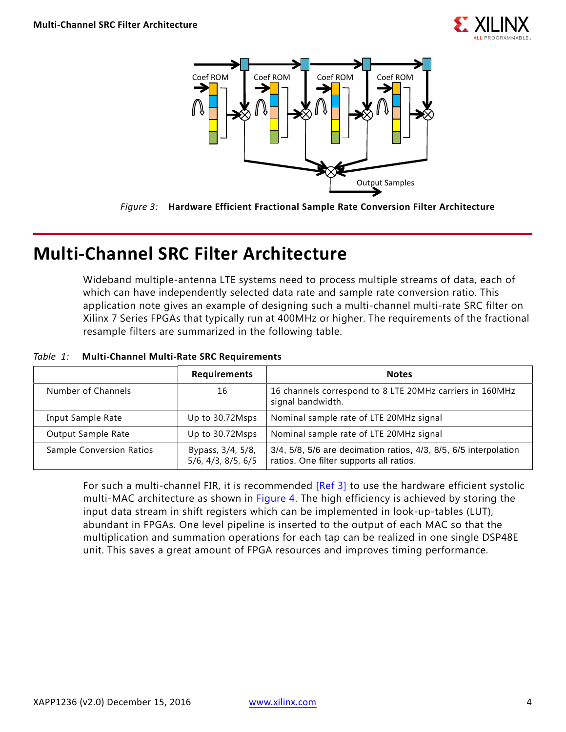

<span id="page-3-0"></span>



# **Multi-Channel SRC Filter Architecture**

Wideband multiple-antenna LTE systems need to process multiple streams of data, each of which can have independently selected data rate and sample rate conversion ratio. This application note gives an example of designing such a multi-channel multi-rate SRC filter on Xilinx 7 Series FPGAs that typically run at 400MHz or higher. The requirements of the fractional resample filters are summarized in the following table.

|                                 | <b>Requirements</b>                                | <b>Notes</b>                                                                                                |
|---------------------------------|----------------------------------------------------|-------------------------------------------------------------------------------------------------------------|
| Number of Channels              | 16                                                 | 16 channels correspond to 8 LTE 20MHz carriers in 160MHz<br>signal bandwidth.                               |
| Input Sample Rate               | Up to 30.72Msps                                    | Nominal sample rate of LTE 20MHz signal                                                                     |
| Output Sample Rate              | Up to 30.72Msps                                    | Nominal sample rate of LTE 20MHz signal                                                                     |
| <b>Sample Conversion Ratios</b> | Bypass, 3/4, 5/8,<br>$5/6$ , $4/3$ , $8/5$ , $6/5$ | 3/4, 5/8, 5/6 are decimation ratios, 4/3, 8/5, 6/5 interpolation<br>ratios. One filter supports all ratios. |

#### *Table 1:* **Multi-Channel Multi-Rate SRC Requirements**

For such a multi-channel FIR, it is recommended [\[Ref 3\]](#page-19-2) to use the hardware efficient systolic multi-MAC architecture as shown in [Figure 4](#page-4-0). The high efficiency is achieved by storing the input data stream in shift registers which can be implemented in look-up-tables (LUT), abundant in FPGAs. One level pipeline is inserted to the output of each MAC so that the multiplication and summation operations for each tap can be realized in one single DSP48E unit. This saves a great amount of FPGA resources and improves timing performance.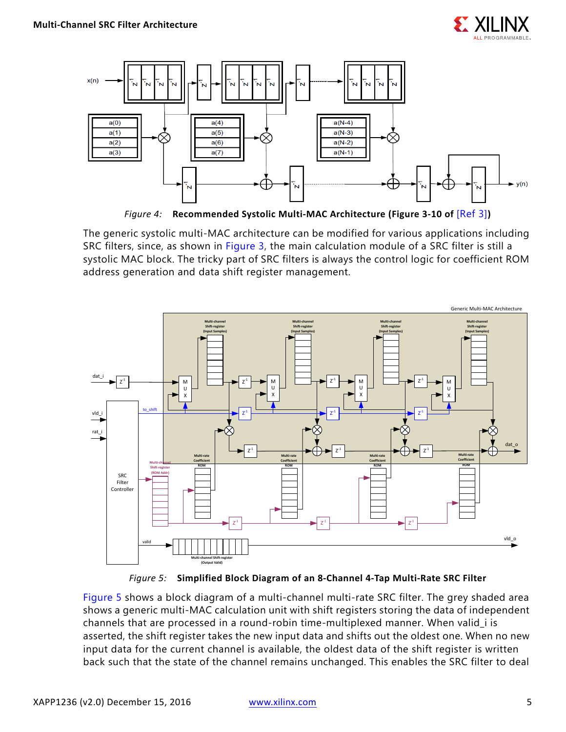

<span id="page-4-0"></span>

*Figure 4:* **Recommended Systolic Multi-MAC Architecture (Figure 3-10 of** [\[Ref 3\]](#page-19-2)**)**

The generic systolic multi-MAC architecture can be modified for various applications including SRC filters, since, as shown in [Figure 3](#page-3-0), the main calculation module of a SRC filter is still a systolic MAC block. The tricky part of SRC filters is always the control logic for coefficient ROM address generation and data shift register management.

<span id="page-4-1"></span>

*Figure 5:* **Simplified Block Diagram of an 8-Channel 4-Tap Multi-Rate SRC Filter**

[Figure 5](#page-4-1) shows a block diagram of a multi-channel multi-rate SRC filter. The grey shaded area shows a generic multi-MAC calculation unit with shift registers storing the data of independent channels that are processed in a round-robin time-multiplexed manner. When valid\_i is asserted, the shift register takes the new input data and shifts out the oldest one. When no new input data for the current channel is available, the oldest data of the shift register is written back such that the state of the channel remains unchanged. This enables the SRC filter to deal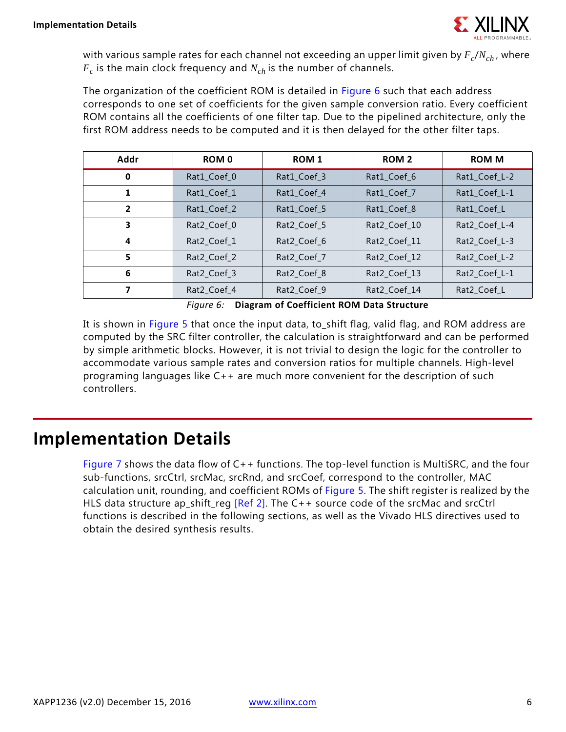

with various sample rates for each channel not exceeding an upper limit given by  $F_c/N_{ch}$ , where  $F_c$  is the main clock frequency and  $N_{ch}$  is the number of channels.

The organization of the coefficient ROM is detailed in [Figure 6](#page-5-0) such that each address corresponds to one set of coefficients for the given sample conversion ratio. Every coefficient ROM contains all the coefficients of one filter tap. Due to the pipelined architecture, only the first ROM address needs to be computed and it is then delayed for the other filter taps.

| Addr           | <b>ROM 0</b> | ROM 1       | <b>ROM 2</b> | <b>ROM M</b>  |
|----------------|--------------|-------------|--------------|---------------|
| $\bf{0}$       | Rat1_Coef_0  | Rat1_Coef_3 | Rat1_Coef_6  | Rat1_Coef_L-2 |
| 1              | Rat1 Coef 1  | Rat1_Coef_4 | Rat1_Coef_7  | Rat1_Coef_L-1 |
| $\overline{2}$ | Rat1 Coef 2  | Rat1 Coef 5 | Rat1_Coef_8  | Rat1 Coef L   |
| 3              | Rat2_Coef_0  | Rat2_Coef_5 | Rat2_Coef_10 | Rat2_Coef_L-4 |
| 4              | Rat2 Coef 1  | Rat2 Coef 6 | Rat2_Coef_11 | Rat2_Coef_L-3 |
| 5              | Rat2 Coef 2  | Rat2 Coef 7 | Rat2_Coef_12 | Rat2_Coef_L-2 |
| 6              | Rat2_Coef_3  | Rat2_Coef_8 | Rat2_Coef_13 | Rat2_Coef_L-1 |
|                | Rat2_Coef_4  | Rat2 Coef 9 | Rat2_Coef_14 | Rat2_Coef_L   |

*Figure 6:* **Diagram of Coefficient ROM Data Structure**

<span id="page-5-0"></span>It is shown in [Figure 5](#page-4-1) that once the input data, to\_shift flag, valid flag, and ROM address are computed by the SRC filter controller, the calculation is straightforward and can be performed by simple arithmetic blocks. However, it is not trivial to design the logic for the controller to accommodate various sample rates and conversion ratios for multiple channels. High-level programing languages like C++ are much more convenient for the description of such controllers.

### **Implementation Details**

[Figure 7](#page-6-0) shows the data flow of C++ functions. The top-level function is MultiSRC, and the four sub-functions, srcCtrl, srcMac, srcRnd, and srcCoef, correspond to the controller, MAC calculation unit, rounding, and coefficient ROMs of [Figure 5.](#page-4-1) The shift register is realized by the HLS data structure ap\_shift\_reg [\[Ref 2\]](#page-19-1). The C++ source code of the srcMac and srcCtrl functions is described in the following sections, as well as the Vivado HLS directives used to obtain the desired synthesis results.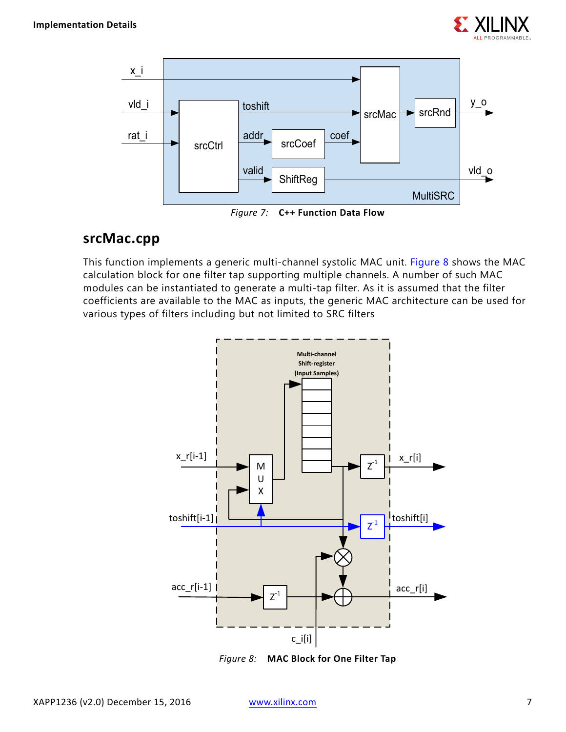

<span id="page-6-0"></span>

# **srcMac.cpp**

This function implements a generic multi-channel systolic MAC unit. [Figure 8](#page-6-1) shows the MAC calculation block for one filter tap supporting multiple channels. A number of such MAC modules can be instantiated to generate a multi-tap filter. As it is assumed that the filter coefficients are available to the MAC as inputs, the generic MAC architecture can be used for various types of filters including but not limited to SRC filters

<span id="page-6-1"></span>

*Figure 8:* **MAC Block for One Filter Tap**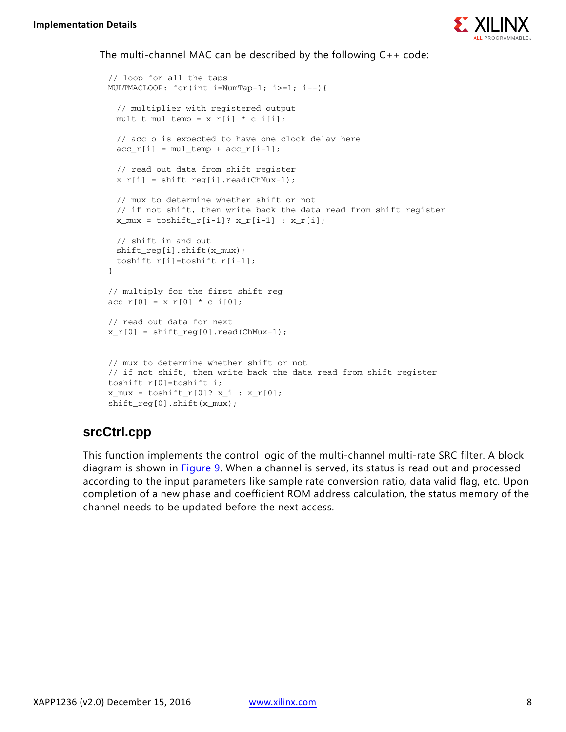

#### The multi-channel MAC can be described by the following C++ code:

```
// loop for all the taps
MULTMACLOOP: for(int i=NumTap-1; i>=1; i--){
 // multiplier with registered output
 mult_t mult_temp = x_r[i] * c_i[i];// acc_o is expected to have one clock delay here
 acc_r[i] = mul_temp + acc_r[i-1];// read out data from shift register
 x_r[i] = shift_{reg[i].read(ChMux-1)};// mux to determine whether shift or not
 // if not shift, then write back the data read from shift register
 x_mux = \tosh\left[t_r[i-1]\right]? x_r[i-1] : x_r[i];
 // shift in and out
 shift_reg[i].shift(x_mux);
 toshift_r[i]=toshift_r[i-1];
}
// multiply for the first shift reg
acc_r[0] = x_r[0] * c_i[0];// read out data for next
x_r[0] = shift_{reg}[0].read(ChMux-1);// mux to determine whether shift or not
// if not shift, then write back the data read from shift register
toshift_r[0]=toshift_i;
x_mux = \toshif f_r[0]? x_i : x_r[0];
shift_reg[0].shift(x_mux);
```
### **srcCtrl.cpp**

This function implements the control logic of the multi-channel multi-rate SRC filter. A block diagram is shown in [Figure 9](#page-8-0). When a channel is served, its status is read out and processed according to the input parameters like sample rate conversion ratio, data valid flag, etc. Upon completion of a new phase and coefficient ROM address calculation, the status memory of the channel needs to be updated before the next access.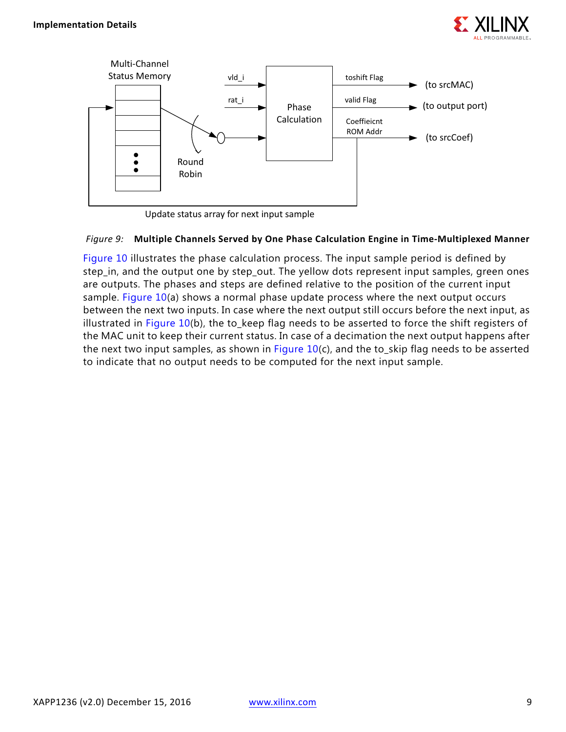

<span id="page-8-0"></span>

Update status array for next input sample

#### *Figure 9:* **Multiple Channels Served by One Phase Calculation Engine in Time-Multiplexed Manner**

[Figure 10](#page-9-0) illustrates the phase calculation process. The input sample period is defined by step\_in, and the output one by step\_out. The yellow dots represent input samples, green ones are outputs. The phases and steps are defined relative to the position of the current input sample. [Figure 10\(](#page-9-0)a) shows a normal phase update process where the next output occurs between the next two inputs. In case where the next output still occurs before the next input, as illustrated in [Figure 10\(](#page-9-0)b), the to\_keep flag needs to be asserted to force the shift registers of the MAC unit to keep their current status. In case of a decimation the next output happens after the next two input samples, as shown in Figure  $10(c)$ , and the to\_skip flag needs to be asserted to indicate that no output needs to be computed for the next input sample.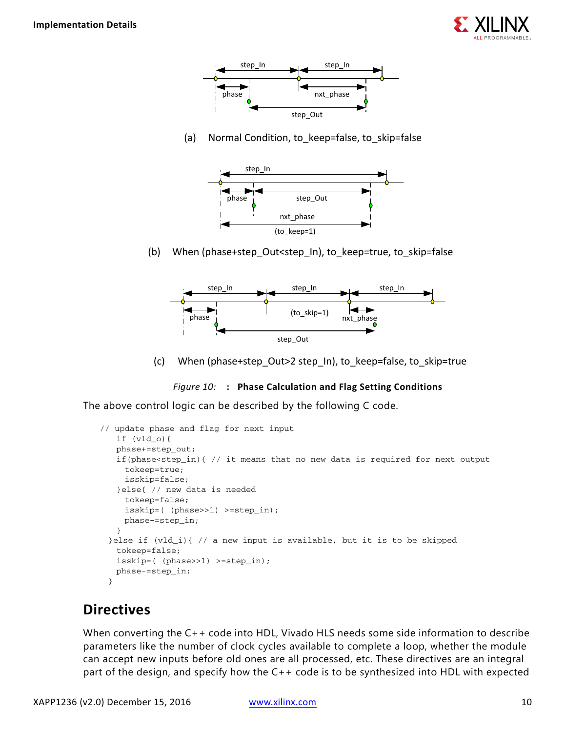

<span id="page-9-0"></span>

(a) Normal Condition, to keep=false, to skip=false



(b) When (phase+step Out<step In), to keep=true, to skip=false



(c) When (phase+step\_Out>2 step\_In), to\_keep=false, to\_skip=true



The above control logic can be described by the following C code.

```
// update phase and flag for next input
   if (vld_o){
   phase+=step_out;
   if(phase<step_in){ // it means that no new data is required for next output
     tokeep=true;
     isskip=false;
   }else{ // new data is needed
     tokeep=false;
     isskip=( (phase>>1) >=step_in);
    phase-=step_in;
   }
 }else if (vld_i){ // a new input is available, but it is to be skipped
   tokeep=false;
   isskip=( (phase>>1) >=step_in);
   phase-=step_in;
 }
```
### **Directives**

When converting the C++ code into HDL, Vivado HLS needs some side information to describe parameters like the number of clock cycles available to complete a loop, whether the module can accept new inputs before old ones are all processed, etc. These directives are an integral part of the design, and specify how the C++ code is to be synthesized into HDL with expected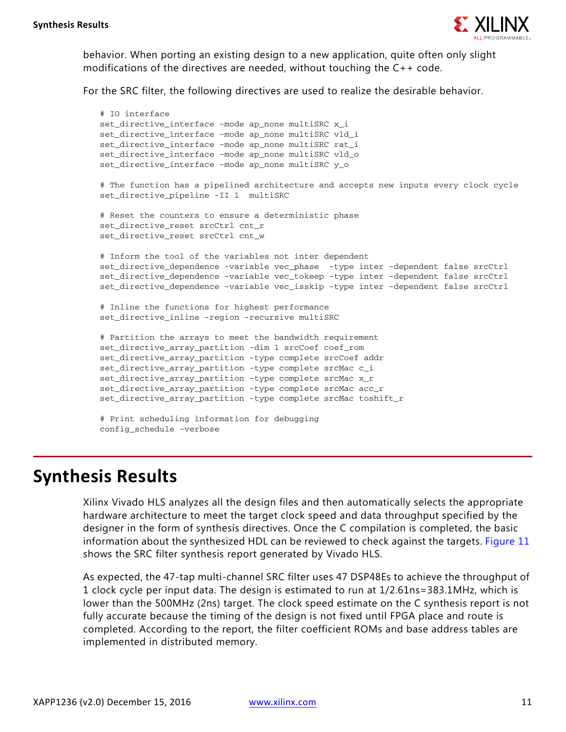

behavior. When porting an existing design to a new application, quite often only slight modifications of the directives are needed, without touching the  $C++$  code.

For the SRC filter, the following directives are used to realize the desirable behavior.

```
# IO interface
set_directive_interface -mode ap_none multiSRC x_i
set directive interface -mode ap none multiSRC vld i
set_directive_interface -mode ap_none multiSRC rat_i
set_directive_interface -mode ap_none multiSRC vld_o
set_directive_interface -mode ap_none multiSRC y_o
# The function has a pipelined architecture and accepts new inputs every clock cycle
set directive pipeline -II 1 multiSRC
# Reset the counters to ensure a deterministic phase
set_directive_reset srcCtrl cnt_r
set_directive_reset srcCtrl cnt_w
# Inform the tool of the variables not inter dependent
set_directive_dependence -variable vec_phase -type inter -dependent false srcCtrl
set_directive_dependence -variable vec_tokeep -type inter -dependent false srcCtrl
set_directive_dependence -variable vec_isskip -type inter -dependent false srcCtrl
# Inline the functions for highest performance
set directive inline -region -recursive multiSRC
# Partition the arrays to meet the bandwidth requirement
set_directive_array_partition -dim 1 srcCoef coef_rom
set_directive_array_partition -type complete srcCoef addr
set_directive_array_partition -type complete srcMac c_i
set directive array partition -type complete srcMac x r
set_directive_array_partition -type complete srcMac acc_r
set_directive_array_partition -type complete srcMac toshift_r
# Print scheduling information for debugging
config_schedule -verbose
```
### **Synthesis Results**

Xilinx Vivado HLS analyzes all the design files and then automatically selects the appropriate hardware architecture to meet the target clock speed and data throughput specified by the designer in the form of synthesis directives. Once the C compilation is completed, the basic information about the synthesized HDL can be reviewed to check against the targets. [Figure 11](#page-11-0) shows the SRC filter synthesis report generated by Vivado HLS.

As expected, the 47-tap multi-channel SRC filter uses 47 DSP48Es to achieve the throughput of 1 clock cycle per input data. The design is estimated to run at 1/2.61ns=383.1MHz, which is lower than the 500MHz (2ns) target. The clock speed estimate on the C synthesis report is not fully accurate because the timing of the design is not fixed until FPGA place and route is completed. According to the report, the filter coefficient ROMs and base address tables are implemented in distributed memory.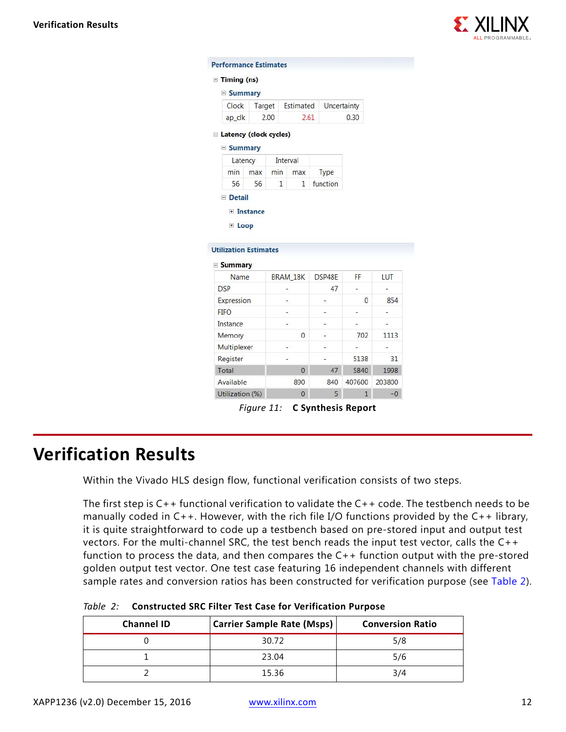

<span id="page-11-0"></span>

| $\equiv$ Timing (ns)                           |        |              |                                                                                                                                                                                                                                                                                                                                                                                                                                                                            |                          |                |            |
|------------------------------------------------|--------|--------------|----------------------------------------------------------------------------------------------------------------------------------------------------------------------------------------------------------------------------------------------------------------------------------------------------------------------------------------------------------------------------------------------------------------------------------------------------------------------------|--------------------------|----------------|------------|
| <b>E</b> Summary                               |        |              |                                                                                                                                                                                                                                                                                                                                                                                                                                                                            |                          |                |            |
| Clock                                          | Target |              | Estimated                                                                                                                                                                                                                                                                                                                                                                                                                                                                  |                          | Uncertainty    |            |
| ap_clk                                         |        | 2.00         |                                                                                                                                                                                                                                                                                                                                                                                                                                                                            | 2.61                     | 0.30           |            |
| E Latency (clock cycles)                       |        |              |                                                                                                                                                                                                                                                                                                                                                                                                                                                                            |                          |                |            |
| $\equiv$ Summary                               |        |              |                                                                                                                                                                                                                                                                                                                                                                                                                                                                            |                          |                |            |
| Latency                                        |        |              | Interval                                                                                                                                                                                                                                                                                                                                                                                                                                                                   |                          |                |            |
| min                                            | max    | min          | max                                                                                                                                                                                                                                                                                                                                                                                                                                                                        | Type                     |                |            |
| 56                                             | 56     | $\mathbf{1}$ | $\mathbf{1}$                                                                                                                                                                                                                                                                                                                                                                                                                                                               | function                 |                |            |
| E Instance<br>E Loop                           |        |              |                                                                                                                                                                                                                                                                                                                                                                                                                                                                            |                          |                |            |
| <b>Utilization Estimates</b><br><b>Summary</b> |        |              |                                                                                                                                                                                                                                                                                                                                                                                                                                                                            |                          |                |            |
| Name                                           |        |              | <b>BRAM 18K</b>                                                                                                                                                                                                                                                                                                                                                                                                                                                            | DSP48E                   | FF.            | <b>LUT</b> |
| <b>DSP</b>                                     |        |              | ÷.                                                                                                                                                                                                                                                                                                                                                                                                                                                                         | 47                       | ÷.             | ÷.         |
| Expression                                     |        |              | $\sim$                                                                                                                                                                                                                                                                                                                                                                                                                                                                     | $\overline{\phantom{a}}$ | $\overline{0}$ | 854        |
| <b>FIFO</b>                                    |        |              | $\frac{1}{2} \left( \frac{1}{2} \right) \left( \frac{1}{2} \right) \left( \frac{1}{2} \right) \left( \frac{1}{2} \right) \left( \frac{1}{2} \right) \left( \frac{1}{2} \right) \left( \frac{1}{2} \right) \left( \frac{1}{2} \right) \left( \frac{1}{2} \right) \left( \frac{1}{2} \right) \left( \frac{1}{2} \right) \left( \frac{1}{2} \right) \left( \frac{1}{2} \right) \left( \frac{1}{2} \right) \left( \frac{1}{2} \right) \left( \frac{1}{2} \right) \left( \frac$ | -                        | ×,             | ä,         |
| Instance                                       |        |              | $\sim$                                                                                                                                                                                                                                                                                                                                                                                                                                                                     | u,                       | ÷.             | ÷          |
| Memory                                         |        |              | $\mathbf{0}$                                                                                                                                                                                                                                                                                                                                                                                                                                                               | g,                       | 702            | 1113       |
| Multiplexer                                    |        |              | $\overline{a}$                                                                                                                                                                                                                                                                                                                                                                                                                                                             | $\overline{\phantom{a}}$ | Ξ              | Ξ          |
| Register                                       |        |              | L                                                                                                                                                                                                                                                                                                                                                                                                                                                                          | L,                       | 5138           | 31         |
| Total                                          |        |              | $\overline{0}$                                                                                                                                                                                                                                                                                                                                                                                                                                                             | 47                       | 5840           | 1998       |
| Available                                      |        |              | 890                                                                                                                                                                                                                                                                                                                                                                                                                                                                        | 840                      | 407600         | 203800     |

*Figure 11:* **C Synthesis Report**

### **Verification Results**

Within the Vivado HLS design flow, functional verification consists of two steps.

The first step is  $C_{++}$  functional verification to validate the  $C_{++}$  code. The testbench needs to be manually coded in  $C_{++}$ . However, with the rich file I/O functions provided by the  $C_{++}$  library, it is quite straightforward to code up a testbench based on pre-stored input and output test vectors. For the multi-channel SRC, the test bench reads the input test vector, calls the C++ function to process the data, and then compares the  $C_{++}$  function output with the pre-stored golden output test vector. One test case featuring 16 independent channels with different sample rates and conversion ratios has been constructed for verification purpose (see [Table 2](#page-11-1)).

| <b>Channel ID</b> | <b>Carrier Sample Rate (Msps)</b> | <b>Conversion Ratio</b> |
|-------------------|-----------------------------------|-------------------------|
|                   | 30.72                             | 5/8                     |
|                   | 23.04                             | 5/6                     |
|                   | 1536                              | 3/4                     |

<span id="page-11-1"></span>*Table 2:* **Constructed SRC Filter Test Case for Verification Purpose**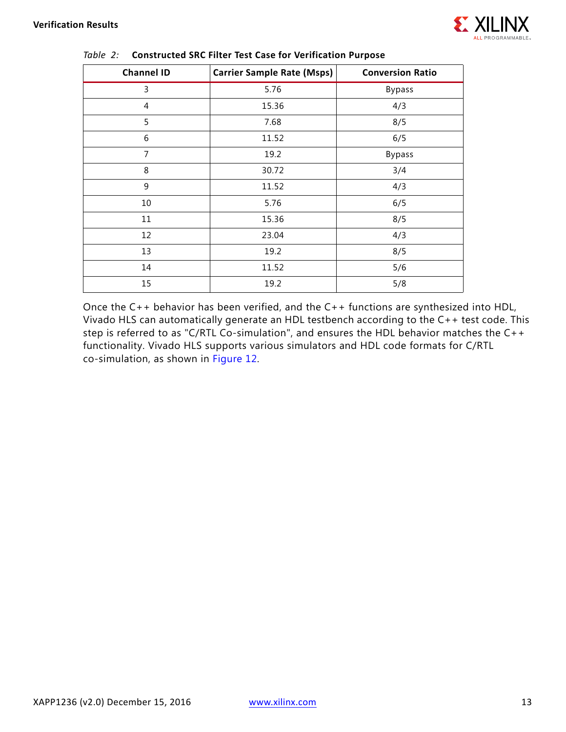

| <b>Channel ID</b> | <b>Carrier Sample Rate (Msps)</b> | <b>Conversion Ratio</b> |
|-------------------|-----------------------------------|-------------------------|
| 3                 | 5.76                              | <b>Bypass</b>           |
| 4                 | 15.36                             | 4/3                     |
| 5                 | 7.68                              | 8/5                     |
| 6                 | 11.52                             | 6/5                     |
| 7                 | 19.2                              | <b>Bypass</b>           |
| 8                 | 30.72                             | 3/4                     |
| 9                 | 11.52                             | 4/3                     |
| 10                | 5.76                              | 6/5                     |
| 11                | 15.36                             | 8/5                     |
| 12                | 23.04                             | 4/3                     |
| 13                | 19.2                              | 8/5                     |
| 14                | 11.52                             | 5/6                     |
| 15                | 19.2                              | 5/8                     |

#### *Table 2:* **Constructed SRC Filter Test Case for Verification Purpose**

Once the C++ behavior has been verified, and the C++ functions are synthesized into HDL, Vivado HLS can automatically generate an HDL testbench according to the C++ test code. This step is referred to as "C/RTL Co-simulation", and ensures the HDL behavior matches the C++ functionality. Vivado HLS supports various simulators and HDL code formats for C/RTL co-simulation, as shown in [Figure 12](#page-13-0).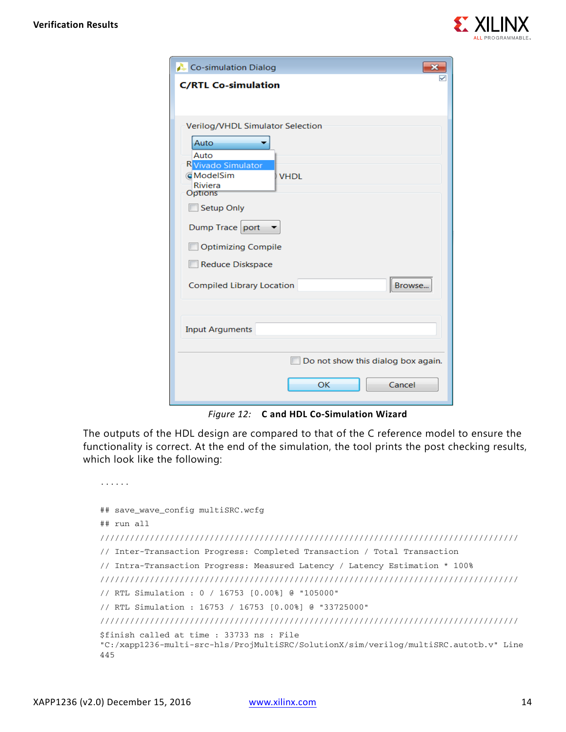

<span id="page-13-0"></span>

| Co-simulation Dialog                       |
|--------------------------------------------|
| <b>C/RTL Co-simulation</b>                 |
|                                            |
| Verilog/VHDL Simulator Selection           |
| Auto                                       |
| Auto<br><b>R</b> Vivado Simulator          |
| <b>ModelSim</b><br><b>VHDL</b><br>Riviera  |
| <b>Options</b><br><b>Setup Only</b>        |
| Dump Trace port                            |
| <b>Optimizing Compile</b>                  |
| <b>Reduce Diskspace</b>                    |
| Browse<br><b>Compiled Library Location</b> |
| <b>Input Arguments</b>                     |
| Do not show this dialog box again.         |
| OK<br>Cancel                               |

*Figure 12:* **C and HDL Co-Simulation Wizard**

The outputs of the HDL design are compared to that of the C reference model to ensure the functionality is correct. At the end of the simulation, the tool prints the post checking results, which look like the following:

```
......
## save_wave_config multiSRC.wcfg
## run all
////////////////////////////////////////////////////////////////////////////////////
// Inter-Transaction Progress: Completed Transaction / Total Transaction
// Intra-Transaction Progress: Measured Latency / Latency Estimation * 100%
////////////////////////////////////////////////////////////////////////////////////
// RTL Simulation : 0 / 16753 [0.00%] @ "105000"
// RTL Simulation : 16753 / 16753 [0.00%] @ "33725000"
////////////////////////////////////////////////////////////////////////////////////
$finish called at time : 33733 ns : File 
"C:/xapp1236-multi-src-hls/ProjMultiSRC/SolutionX/sim/verilog/multiSRC.autotb.v" Line 
445
```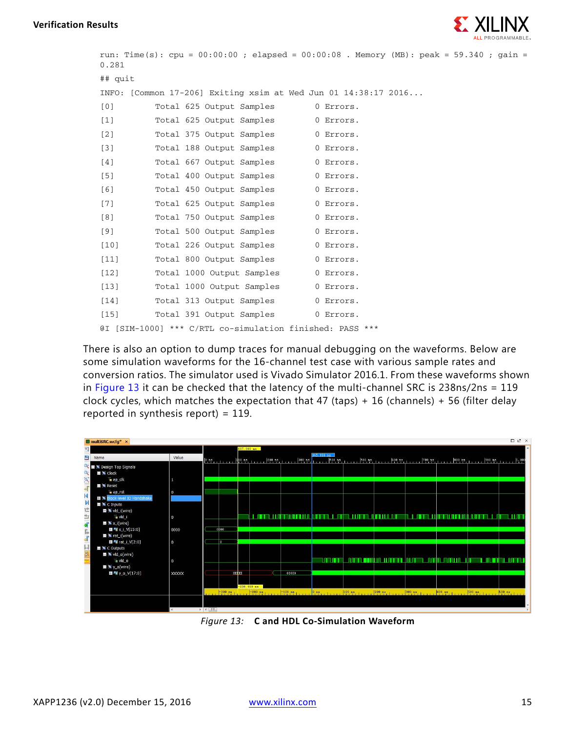

```
run: Time(s): cpu = 00:00:00 ; elapsed = 00:00:08 . Memory (MB): peak = 59.340 ; gain = 
0.281
## quit
INFO: [Common 17-206] Exiting xsim at Wed Jun 01 14:38:17 2016...
[0] Total 625 Output Samples 0 Errors.
[1] Total 625 Output Samples 0 Errors.
[2] Total 375 Output Samples 0 Errors.
[3] Total 188 Output Samples 0 Errors.
[4] Total 667 Output Samples 0 Errors.
[5] Total 400 Output Samples 0 Errors.
[6] Total 450 Output Samples 0 Errors.
[7] Total 625 Output Samples 0 Errors.
[8] Total 750 Output Samples 0 Errors.
[9] Total 500 Output Samples 0 Errors.
[10] Total 226 Output Samples 0 Errors.
[11] Total 800 Output Samples 0 Errors.
[12] Total 1000 Output Samples 0 Errors.
[13] Total 1000 Output Samples 0 Errors.
[14] Total 313 Output Samples 0 Errors.
[15] Total 391 Output Samples 0 Errors.
@I [SIM-1000] *** C/RTL co-simulation finished: PASS ***
```
There is also an option to dump traces for manual debugging on the waveforms. Below are some simulation waveforms for the 16-channel test case with various sample rates and conversion ratios. The simulator used is Vivado Simulator 2016.1. From these waveforms shown in [Figure 13](#page-14-0) it can be checked that the latency of the multi-channel SRC is 238ns/2ns = 119 clock cycles, which matches the expectation that 47 (taps) + 16 (channels) + 56 (filter delay reported in synthesis report) =  $119$ .

<span id="page-14-0"></span>

*Figure 13:* **C and HDL Co-Simulation Waveform**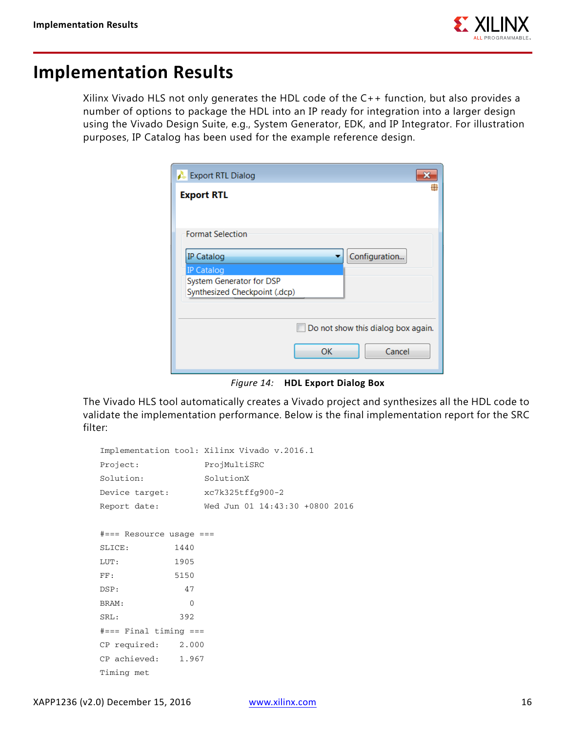

### **Implementation Results**

Xilinx Vivado HLS not only generates the HDL code of the C++ function, but also provides a number of options to package the HDL into an IP ready for integration into a larger design using the Vivado Design Suite, e.g., System Generator, EDK, and IP Integrator. For illustration purposes, IP Catalog has been used for the example reference design.

| <b>Export RTL Dialog</b>      |                                    |
|-------------------------------|------------------------------------|
| <b>Export RTL</b>             |                                    |
|                               |                                    |
| <b>Format Selection</b>       |                                    |
| <b>IP Catalog</b>             | Configuration                      |
| <b>IP Catalog</b>             |                                    |
| System Generator for DSP      |                                    |
| Synthesized Checkpoint (.dcp) |                                    |
|                               |                                    |
|                               |                                    |
|                               | Do not show this dialog box again. |
|                               |                                    |
|                               | OK<br>Cancel                       |
|                               |                                    |

*Figure 14:* **HDL Export Dialog Box**

The Vivado HLS tool automatically creates a Vivado project and synthesizes all the HDL code to validate the implementation performance. Below is the final implementation report for the SRC filter:

```
Implementation tool: Xilinx Vivado v.2016.1
Project: ProjMultiSRC
Solution: SolutionX
Device target: xc7k325tffg900-2
Report date: Wed Jun 01 14:43:30 +0800 2016
#=== Resource usage ===
SLICE: 1440
LUT: 1905
FF: 5150
DSP: 47
BRAM: 0
SRL: 392
#=== Final timing ===
CP required: 2.000
CP achieved: 1.967
Timing met
```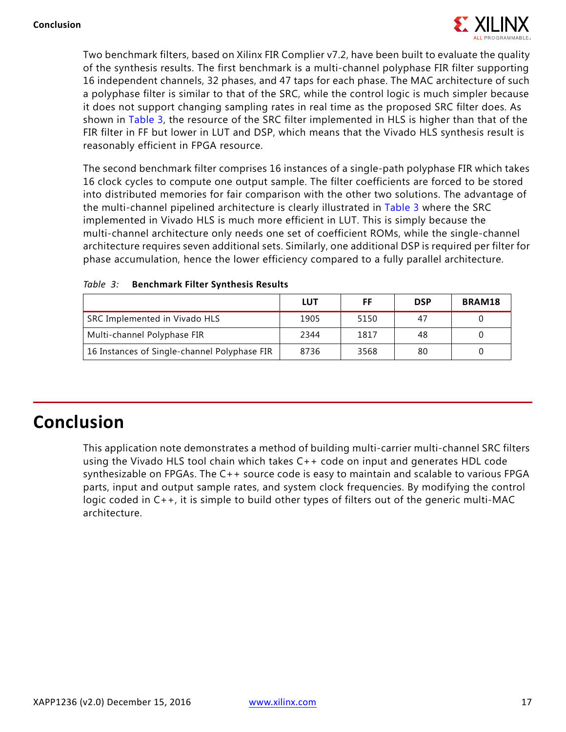

Two benchmark filters, based on Xilinx FIR Complier v7.2, have been built to evaluate the quality of the synthesis results. The first benchmark is a multi-channel polyphase FIR filter supporting 16 independent channels, 32 phases, and 47 taps for each phase. The MAC architecture of such a polyphase filter is similar to that of the SRC, while the control logic is much simpler because it does not support changing sampling rates in real time as the proposed SRC filter does. As shown in [Table 3,](#page-16-0) the resource of the SRC filter implemented in HLS is higher than that of the FIR filter in FF but lower in LUT and DSP, which means that the Vivado HLS synthesis result is reasonably efficient in FPGA resource.

The second benchmark filter comprises 16 instances of a single-path polyphase FIR which takes 16 clock cycles to compute one output sample. The filter coefficients are forced to be stored into distributed memories for fair comparison with the other two solutions. The advantage of the multi-channel pipelined architecture is clearly illustrated in [Table 3](#page-16-0) where the SRC implemented in Vivado HLS is much more efficient in LUT. This is simply because the multi-channel architecture only needs one set of coefficient ROMs, while the single-channel architecture requires seven additional sets. Similarly, one additional DSP is required per filter for phase accumulation, hence the lower efficiency compared to a fully parallel architecture.

|                                              | LUT  | FF   | <b>DSP</b> | BRAM18 |
|----------------------------------------------|------|------|------------|--------|
| SRC Implemented in Vivado HLS                | 1905 | 5150 | 47         |        |
| Multi-channel Polyphase FIR                  | 2344 | 1817 | 48         |        |
| 16 Instances of Single-channel Polyphase FIR | 8736 | 3568 | 80         |        |

#### <span id="page-16-0"></span>*Table 3:* **Benchmark Filter Synthesis Results**

## **Conclusion**

This application note demonstrates a method of building multi-carrier multi-channel SRC filters using the Vivado HLS tool chain which takes C++ code on input and generates HDL code synthesizable on FPGAs. The C++ source code is easy to maintain and scalable to various FPGA parts, input and output sample rates, and system clock frequencies. By modifying the control logic coded in C++, it is simple to build other types of filters out of the generic multi-MAC architecture.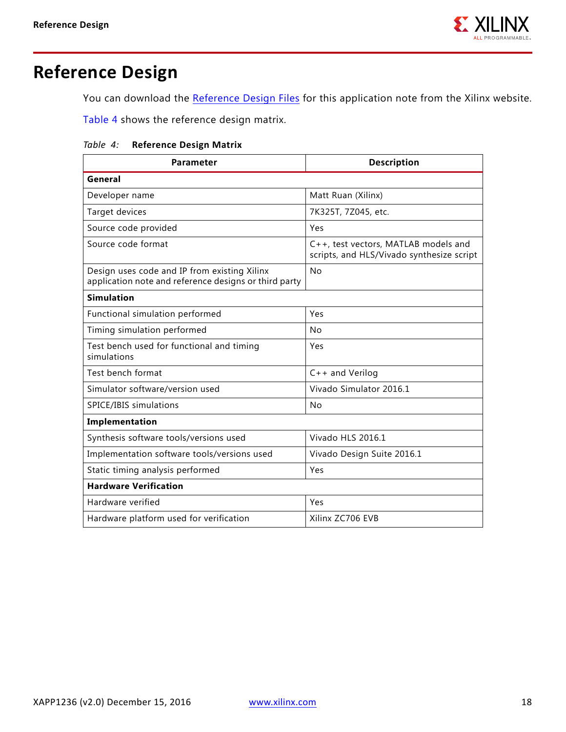

# **Reference Design**

You can download the [Reference Design Files](https://secure.xilinx.com/webreg/clickthrough.do?cid=387485) for this application note from the Xilinx website.

[Table 4](#page-17-0) shows the reference design matrix.

#### <span id="page-17-0"></span>*Table 4:* **Reference Design Matrix**

| Parameter                                                                                             | <b>Description</b>                                                                |  |
|-------------------------------------------------------------------------------------------------------|-----------------------------------------------------------------------------------|--|
| General                                                                                               |                                                                                   |  |
| Developer name                                                                                        | Matt Ruan (Xilinx)                                                                |  |
| Target devices                                                                                        | 7K325T, 7Z045, etc.                                                               |  |
| Source code provided                                                                                  | Yes                                                                               |  |
| Source code format                                                                                    | C++, test vectors, MATLAB models and<br>scripts, and HLS/Vivado synthesize script |  |
| Design uses code and IP from existing Xilinx<br>application note and reference designs or third party | No                                                                                |  |
| <b>Simulation</b>                                                                                     |                                                                                   |  |
| Functional simulation performed                                                                       | Yes                                                                               |  |
| Timing simulation performed                                                                           | No                                                                                |  |
| Test bench used for functional and timing<br>simulations                                              | Yes                                                                               |  |
| Test bench format                                                                                     | $C++$ and Verilog                                                                 |  |
| Simulator software/version used                                                                       | Vivado Simulator 2016.1                                                           |  |
| SPICE/IBIS simulations                                                                                | No                                                                                |  |
| Implementation                                                                                        |                                                                                   |  |
| Synthesis software tools/versions used                                                                | Vivado HLS 2016.1                                                                 |  |
| Implementation software tools/versions used                                                           | Vivado Design Suite 2016.1                                                        |  |
| Static timing analysis performed                                                                      | Yes                                                                               |  |
| <b>Hardware Verification</b>                                                                          |                                                                                   |  |
| Hardware verified                                                                                     | Yes                                                                               |  |
| Hardware platform used for verification                                                               | Xilinx ZC706 EVB                                                                  |  |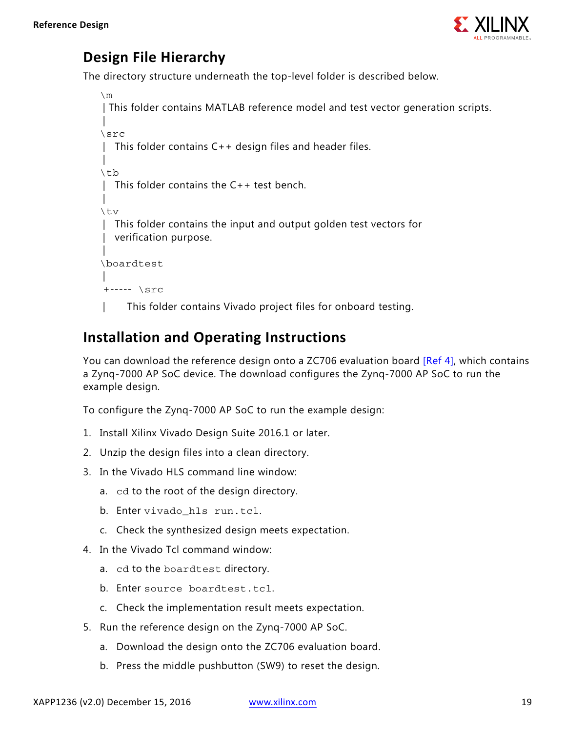

### **Design File Hierarchy**

The directory structure underneath the top-level folder is described below.

```
\mathop{\backslash} m | This folder contains MATLAB reference model and test vector generation scripts.
 | 
\src
 | This folder contains C++ design files and header files.
\overline{\phantom{a}}\tb
  This folder contains the C++ test bench.
\overline{\phantom{a}}\tv
   | This folder contains the input and output golden test vectors for 
   verification purpose.
 |
\boardtest
 |
 +----- \src
      This folder contains Vivado project files for onboard testing.
```
### **Installation and Operating Instructions**

You can download the reference design onto a ZC706 evaluation board [\[Ref 4\]](#page-19-3), which contains a Zynq-7000 AP SoC device. The download configures the Zynq-7000 AP SoC to run the example design.

To configure the Zynq-7000 AP SoC to run the example design:

- 1. Install Xilinx Vivado Design Suite 2016.1 or later.
- 2. Unzip the design files into a clean directory.
- 3. In the Vivado HLS command line window:
	- a. cd to the root of the design directory.
	- b. Enter vivado hls run.tcl.
	- c. Check the synthesized design meets expectation.
- 4. In the Vivado Tcl command window:
	- a. cd to the boardtest directory.
	- b. Enter source boardtest.tcl.
	- c. Check the implementation result meets expectation.
- 5. Run the reference design on the Zynq-7000 AP SoC.
	- a. Download the design onto the ZC706 evaluation board.
	- b. Press the middle pushbutton (SW9) to reset the design.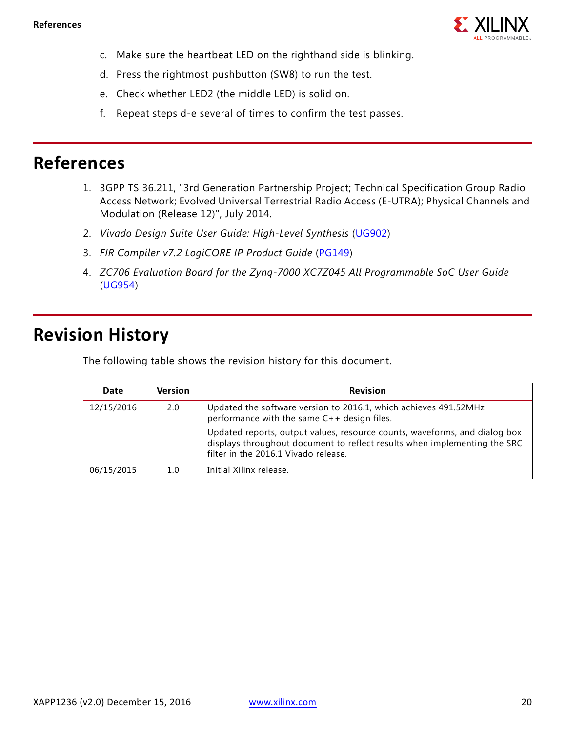

- c. Make sure the heartbeat LED on the righthand side is blinking.
- d. Press the rightmost pushbutton (SW8) to run the test.
- e. Check whether LED2 (the middle LED) is solid on.
- f. Repeat steps d-e several of times to confirm the test passes.

### **References**

- <span id="page-19-0"></span>1. 3GPP TS 36.211, "3rd Generation Partnership Project; Technical Specification Group Radio Access Network; Evolved Universal Terrestrial Radio Access (E-UTRA); Physical Channels and Modulation (Release 12)", July 2014.
- <span id="page-19-1"></span>2. *Vivado Design Suite User Guide: High-Level Synthesis* ([UG902](http://www.xilinx.com/cgi-bin/docs/rdoc?l=en;v=latest;d=ug902-vivado-high-level-synthesis.pdf))
- <span id="page-19-2"></span>3. *FIR Compiler v7.2 LogiCORE IP Product Guide* ([PG149](http://www.xilinx.com/cgi-bin/docs/ipdoc?c=fir_compiler;v=v7.2;d=pg149-fir-compiler.pdf))
- <span id="page-19-3"></span>4. *ZC706 Evaluation Board for the Zynq-7000 XC7Z045 All Programmable SoC User Guide* ([UG954](http://www.xilinx.com/cgi-bin/docs/bkdoc?k=zc706;d=ug954-zc706-eval-board-xc7z045-ap-soc.pdf))

### **Revision History**

The following table shows the revision history for this document.

| Date       | <b>Version</b> | <b>Revision</b>                                                                                                                                                                                 |
|------------|----------------|-------------------------------------------------------------------------------------------------------------------------------------------------------------------------------------------------|
| 12/15/2016 | 2.0            | Updated the software version to 2016.1, which achieves 491.52MHz<br>performance with the same C++ design files.                                                                                 |
|            |                | Updated reports, output values, resource counts, waveforms, and dialog box<br>displays throughout document to reflect results when implementing the SRC<br>filter in the 2016.1 Vivado release. |
| 06/15/2015 | 1.0            | Initial Xilinx release.                                                                                                                                                                         |